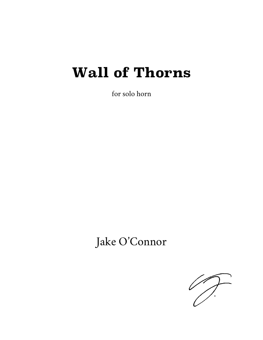# **Wall of Thorns**

for solo horn

## Jake O'Connor

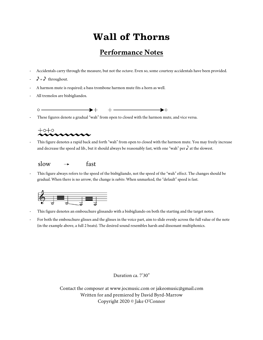## **Wall of Thorns**

### **Performance Notes**

- Accidentals carry through the measure, but not the octave. Even so, some courtesy accidentals have been provided.
- $\lambda = \lambda$  throughout.
- A harmon mute is required; a bass trombone harmon mute fits a horn as well.
- All tremolos are bisbigliandos.



These figures denote a gradual "wah" from open to closed with the harmon mute, and vice versa.

 $+$ o $+$ o

This figure denotes a rapid back and forth "wah" from open to closed with the harmon mute. You may freely increase and decrease the speed ad lib., but it should always be reasonably fast, with one "wah" per  $\int$  at the slowest.

#### slow fast

This figure always refers to the speed of the bisbigliando, not the speed of the "wah" effect. The changes should be gradual. When there is no arrow, the change is *subito*. When unmarked, the "default" speed is fast.



- This figure denotes an embouchure glissando with a bisbigliando on both the starting and the target notes.
- For both the embouchure glisses and the glisses in the voice part, aim to slide evenly across the full value of the note (in the example above, a full 2 beats). The desired sound resembles harsh and dissonant multiphonics.

### Duration ca. 7'30"

Contact the composer at www.jocmusic.com or jakeomusic@gmail.com Written for and premiered by David Byrd-Marrow Copyright 2020 © Jake O'Connor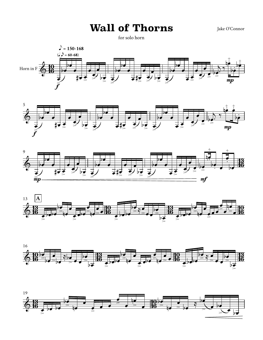**Wall of Thorns** Jake O'Connor













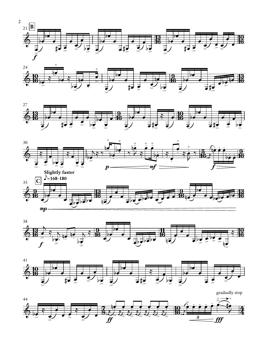













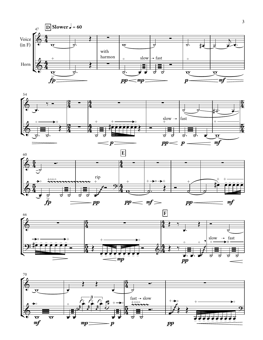







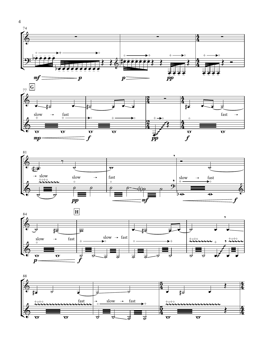







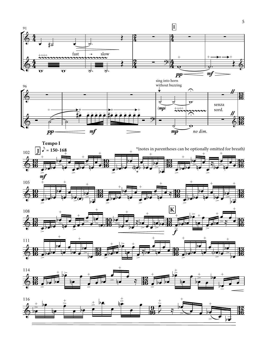